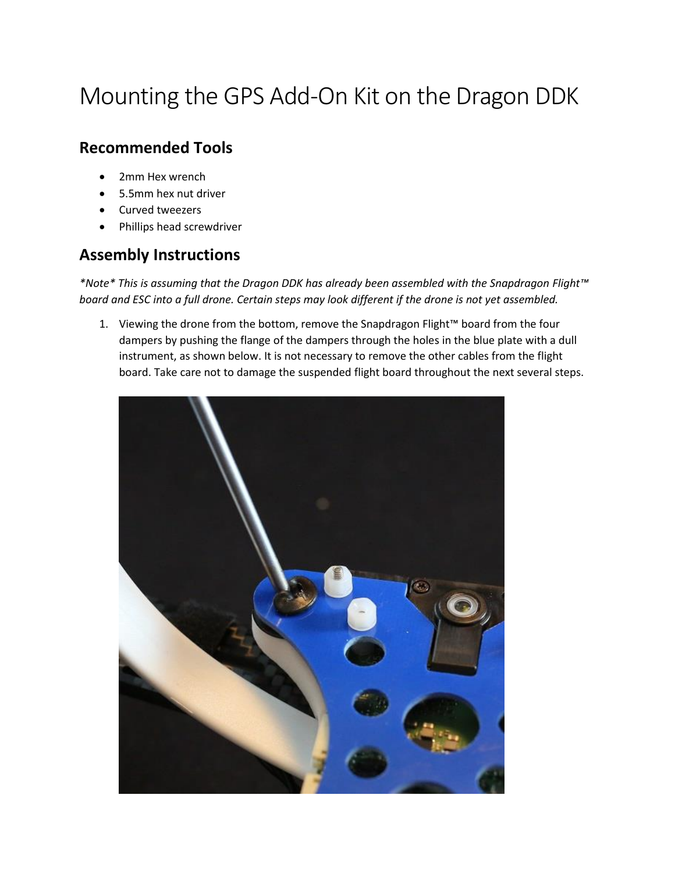## Mounting the GPS Add-On Kit on the Dragon DDK

## **Recommended Tools**

- 2mm Hex wrench
- 5.5mm hex nut driver
- Curved tweezers
- Phillips head screwdriver

## **Assembly Instructions**

*\*Note\* This is assuming that the Dragon DDK has already been assembled with the Snapdragon Flight™ board and ESC into a full drone. Certain steps may look different if the drone is not yet assembled.*

1. Viewing the drone from the bottom, remove the Snapdragon Flight™ board from the four dampers by pushing the flange of the dampers through the holes in the blue plate with a dull instrument, as shown below. It is not necessary to remove the other cables from the flight board. Take care not to damage the suspended flight board throughout the next several steps.

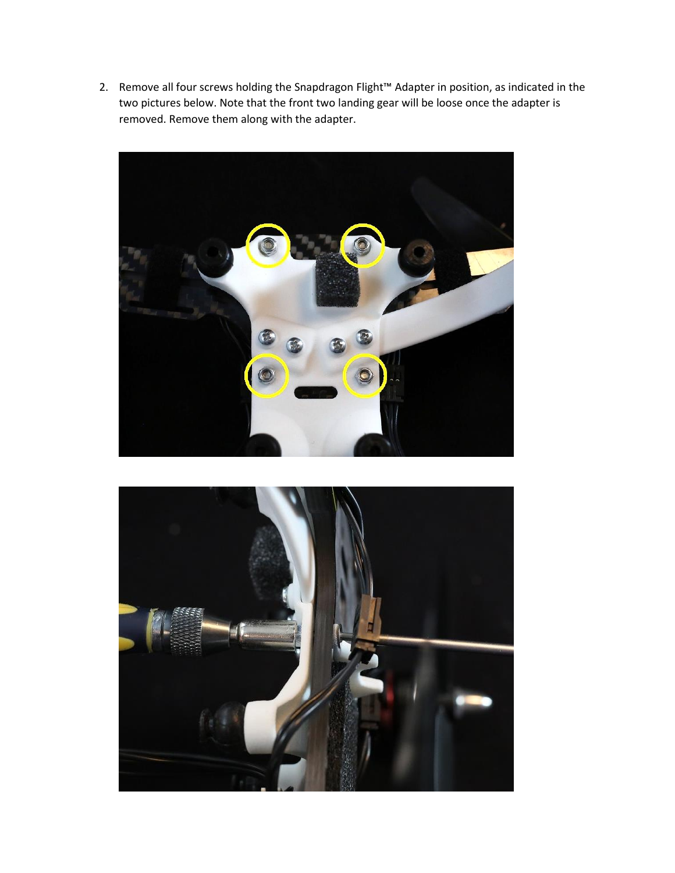2. Remove all four screws holding the Snapdragon Flight™ Adapter in position, as indicated in the two pictures below. Note that the front two landing gear will be loose once the adapter is removed. Remove them along with the adapter.



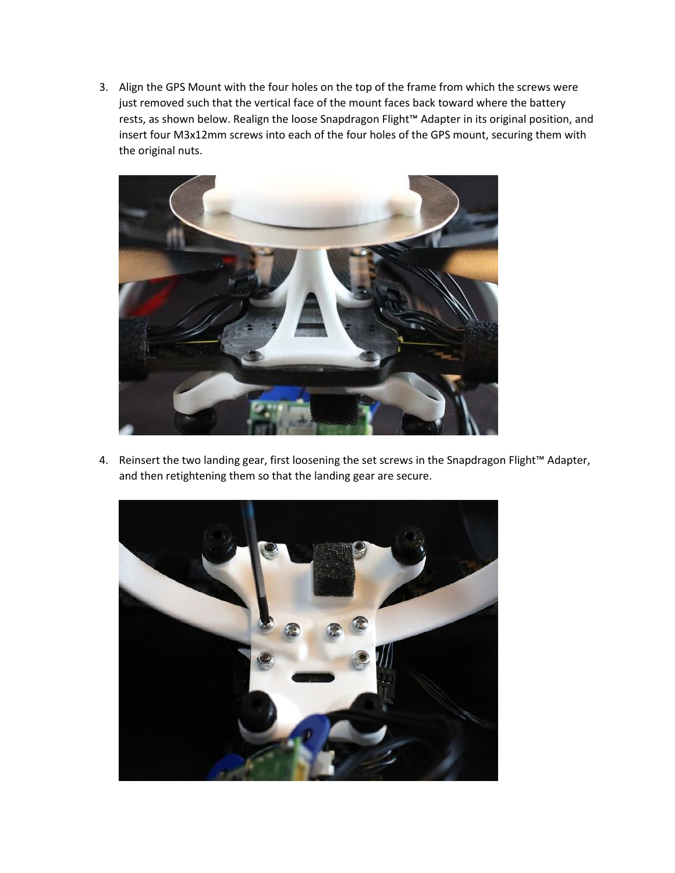3. Align the GPS Mount with the four holes on the top of the frame from which the screws were just removed such that the vertical face of the mount faces back toward where the battery rests, as shown below. Realign the loose Snapdragon Flight™ Adapter in its original position, and insert four M3x12mm screws into each of the four holes of the GPS mount, securing them with the original nuts.



4. Reinsert the two landing gear, first loosening the set screws in the Snapdragon Flight™ Adapter, and then retightening them so that the landing gear are secure.

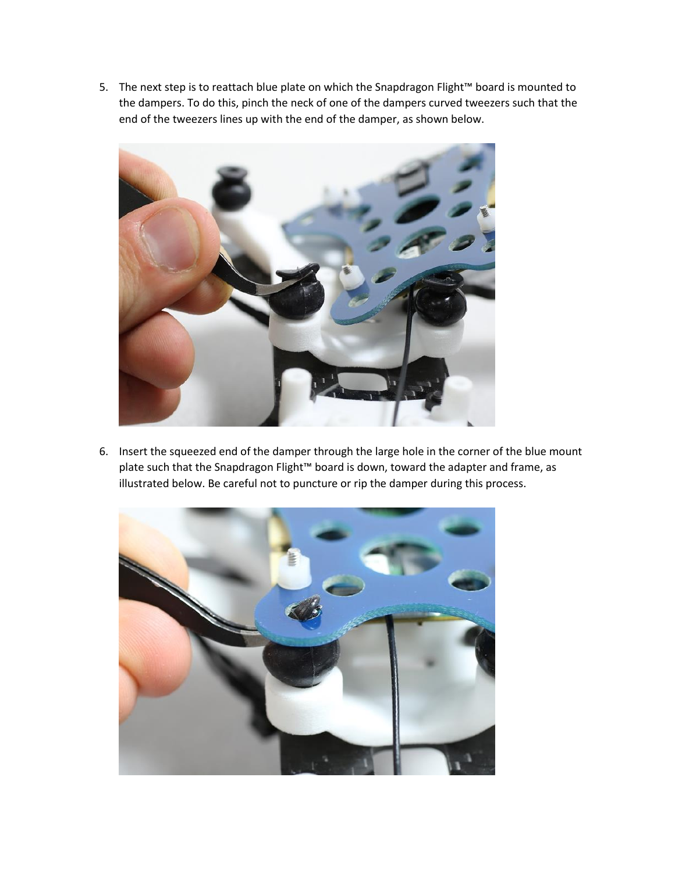5. The next step is to reattach blue plate on which the Snapdragon Flight™ board is mounted to the dampers. To do this, pinch the neck of one of the dampers curved tweezers such that the end of the tweezers lines up with the end of the damper, as shown below.



6. Insert the squeezed end of the damper through the large hole in the corner of the blue mount plate such that the Snapdragon Flight™ board is down, toward the adapter and frame, as illustrated below. Be careful not to puncture or rip the damper during this process.

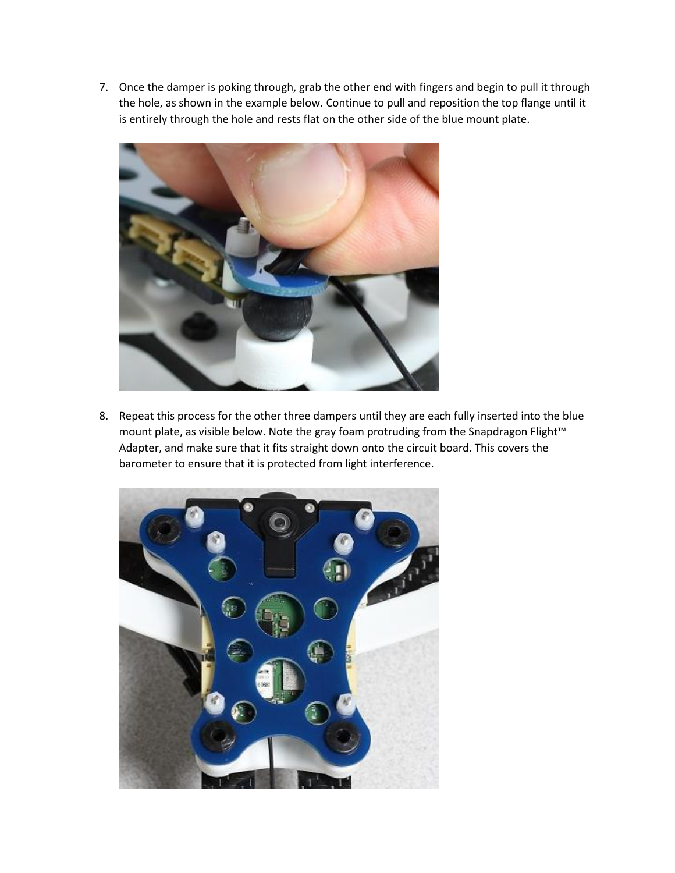7. Once the damper is poking through, grab the other end with fingers and begin to pull it through the hole, as shown in the example below. Continue to pull and reposition the top flange until it is entirely through the hole and rests flat on the other side of the blue mount plate.



8. Repeat this process for the other three dampers until they are each fully inserted into the blue mount plate, as visible below. Note the gray foam protruding from the Snapdragon Flight™ Adapter, and make sure that it fits straight down onto the circuit board. This covers the barometer to ensure that it is protected from light interference.